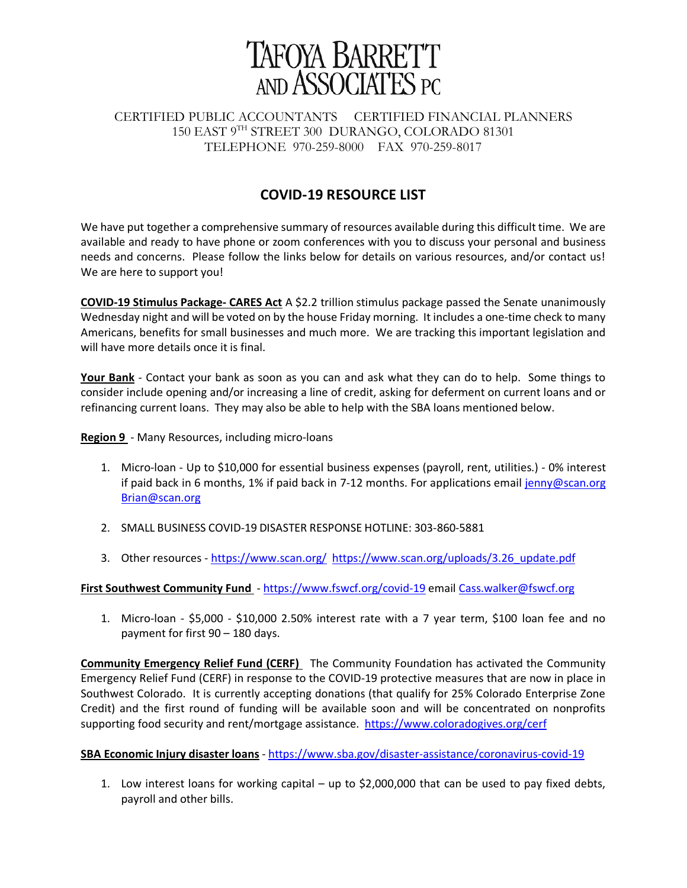

## CERTIFIED PUBLIC ACCOUNTANTS CERTIFIED FINANCIAL PLANNERS 150 EAST 9TH STREET 300 DURANGO, COLORADO 81301 TELEPHONE 970-259-8000 FAX 970-259-8017

# **COVID‐19 RESOURCE LIST**

We have put together a comprehensive summary of resources available during this difficult time. We are available and ready to have phone or zoom conferences with you to discuss your personal and business needs and concerns. Please follow the links below for details on various resources, and/or contact us! We are here to support you!

**COVID‐19 Stimulus Package‐ CARES Act** A \$2.2 trillion stimulus package passed the Senate unanimously Wednesday night and will be voted on by the house Friday morning. It includes a one-time check to many Americans, benefits for small businesses and much more. We are tracking this important legislation and will have more details once it is final.

Your Bank - Contact your bank as soon as you can and ask what they can do to help. Some things to consider include opening and/or increasing a line of credit, asking for deferment on current loans and or refinancing current loans. They may also be able to help with the SBA loans mentioned below.

**Region 9** - Many Resources, including micro-loans

- 1. Micro‐loan ‐ Up to \$10,000 for essential business expenses (payroll, rent, utilities.) ‐ 0% interest if paid back in 6 months, 1% if paid back in 7-12 months. For applications email jenny@scan.org Brian@scan.org
- 2. SMALL BUSINESS COVID‐19 DISASTER RESPONSE HOTLINE: 303‐860‐5881
- 3. Other resources https://www.scan.org/ https://www.scan.org/uploads/3.26\_update.pdf

#### First Southwest Community Fund - https://www.fswcf.org/covid-19 email Cass.walker@fswcf.org

1. Micro‐loan ‐ \$5,000 ‐ \$10,000 2.50% interest rate with a 7 year term, \$100 loan fee and no payment for first 90 – 180 days.

**Community Emergency Relief Fund (CERF)**  The Community Foundation has activated the Community Emergency Relief Fund (CERF) in response to the COVID‐19 protective measures that are now in place in Southwest Colorado. It is currently accepting donations (that qualify for 25% Colorado Enterprise Zone Credit) and the first round of funding will be available soon and will be concentrated on nonprofits supporting food security and rent/mortgage assistance. https://www.coloradogives.org/cerf

#### **SBA Economic Injury disaster loans** ‐ https://www.sba.gov/disaster‐assistance/coronavirus‐covid‐19

1. Low interest loans for working capital – up to \$2,000,000 that can be used to pay fixed debts, payroll and other bills.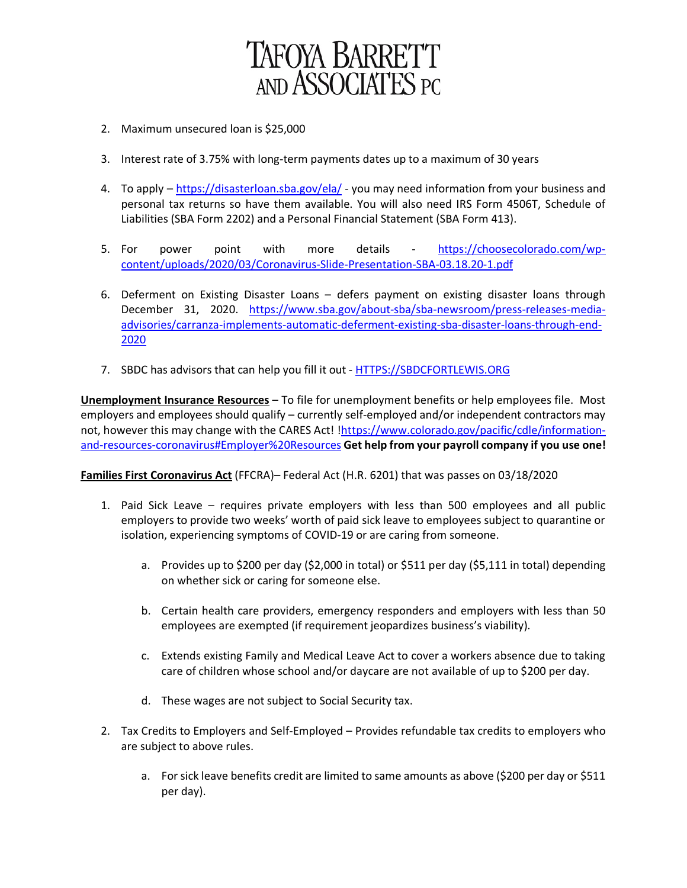

- 2. Maximum unsecured loan is \$25,000
- 3. Interest rate of 3.75% with long‐term payments dates up to a maximum of 30 years
- 4. To apply https://disasterloan.sba.gov/ela/ you may need information from your business and personal tax returns so have them available. You will also need IRS Form 4506T, Schedule of Liabilities (SBA Form 2202) and a Personal Financial Statement (SBA Form 413).
- 5. For power point with more details https://choosecolorado.com/wpcontent/uploads/2020/03/Coronavirus‐Slide‐Presentation‐SBA‐03.18.20‐1.pdf
- 6. Deferment on Existing Disaster Loans defers payment on existing disaster loans through December 31, 2020. https://www.sba.gov/about-sba/sba-newsroom/press-releases-mediaadvisories/carranza‐implements‐automatic‐deferment‐existing‐sba‐disaster‐loans‐through‐end‐ 2020
- 7. SBDC has advisors that can help you fill it out HTTPS://SBDCFORTLEWIS.ORG

**Unemployment Insurance Resources** – To file for unemployment benefits or help employees file. Most employers and employees should qualify – currently self-employed and/or independent contractors may not, however this may change with the CARES Act! !https://www.colorado.gov/pacific/cdle/informationand‐resources‐coronavirus#Employer%20Resources **Get help from your payroll company if you use one!**

**Families First Coronavirus Act** (FFCRA)– Federal Act (H.R. 6201) that was passes on 03/18/2020

- 1. Paid Sick Leave requires private employers with less than 500 employees and all public employers to provide two weeks' worth of paid sick leave to employees subject to quarantine or isolation, experiencing symptoms of COVID‐19 or are caring from someone.
	- a. Provides up to \$200 per day (\$2,000 in total) or \$511 per day (\$5,111 in total) depending on whether sick or caring for someone else.
	- b. Certain health care providers, emergency responders and employers with less than 50 employees are exempted (if requirement jeopardizes business's viability).
	- c. Extends existing Family and Medical Leave Act to cover a workers absence due to taking care of children whose school and/or daycare are not available of up to \$200 per day.
	- d. These wages are not subject to Social Security tax.
- 2. Tax Credits to Employers and Self‐Employed Provides refundable tax credits to employers who are subject to above rules.
	- a. For sick leave benefits credit are limited to same amounts as above (\$200 per day or \$511 per day).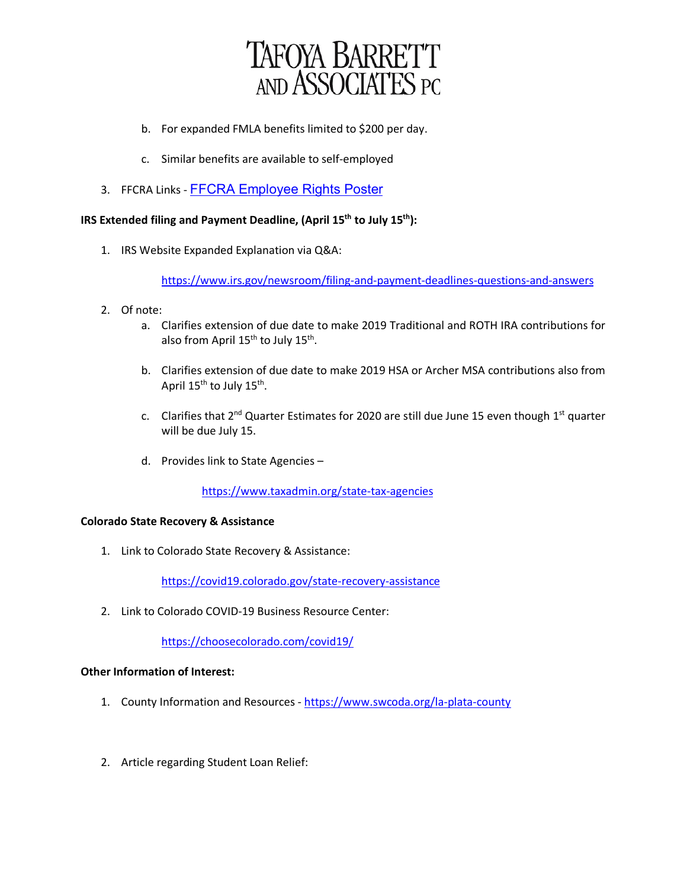

- b. For expanded FMLA benefits limited to \$200 per day.
- c. Similar benefits are available to self‐employed
- 3. FFCRA Links FFCRA Employee Rights Poster

### **IRS Extended filing and Payment Deadline, (April 15th to July 15th):**

1. IRS Website Expanded Explanation via Q&A:

https://www.irs.gov/newsroom/filing-and-payment-deadlines-questions-and-answers

- 2. Of note:
	- a. Clarifies extension of due date to make 2019 Traditional and ROTH IRA contributions for also from April  $15^{th}$  to July  $15^{th}$ .
	- b. Clarifies extension of due date to make 2019 HSA or Archer MSA contributions also from April 15<sup>th</sup> to July 15<sup>th</sup>.
	- c. Clarifies that  $2^{nd}$  Quarter Estimates for 2020 are still due June 15 even though  $1^{st}$  quarter will be due July 15.
	- d. Provides link to State Agencies –

https://www.taxadmin.org/state‐tax‐agencies

#### **Colorado State Recovery & Assistance**

1. Link to Colorado State Recovery & Assistance:

https://covid19.colorado.gov/state‐recovery‐assistance

2. Link to Colorado COVID‐19 Business Resource Center:

https://choosecolorado.com/covid19/

#### **Other Information of Interest:**

- 1. County Information and Resources https://www.swcoda.org/la-plata-county
- 2. Article regarding Student Loan Relief: